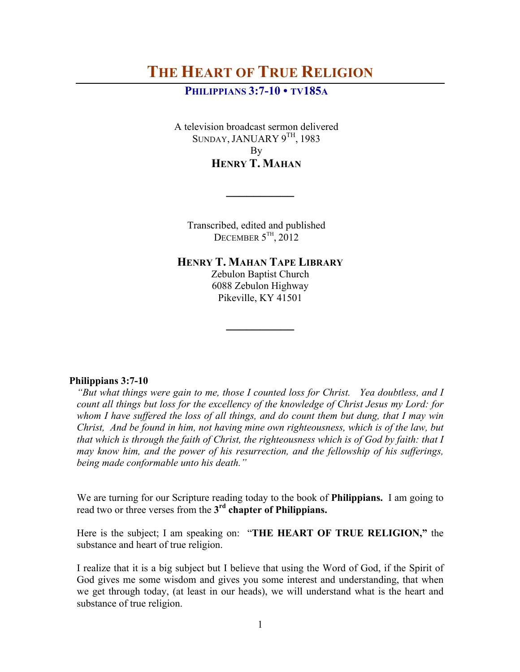## **PHILIPPIANS 3:7-10 • TV185A**

A television broadcast sermon delivered SUNDAY, JANUARY 9<sup>TH</sup>, 1983 By **HENRY T. MAHAN**

Transcribed, edited and published DECEMBER  $5^{TH}$ ,  $2012$ 

**\_\_\_\_\_\_\_\_\_\_**

**HENRY T. MAHAN TAPE LIBRARY**

Zebulon Baptist Church 6088 Zebulon Highway Pikeville, KY 41501

**\_\_\_\_\_\_\_\_\_\_**

### **Philippians 3:7-10**

*"But what things were gain to me, those I counted loss for Christ. Yea doubtless, and I count all things but loss for the excellency of the knowledge of Christ Jesus my Lord: for whom I have suffered the loss of all things, and do count them but dung, that I may win Christ, And be found in him, not having mine own righteousness, which is of the law, but that which is through the faith of Christ, the righteousness which is of God by faith: that I may know him, and the power of his resurrection, and the fellowship of his sufferings, being made conformable unto his death."*

We are turning for our Scripture reading today to the book of **Philippians.** I am going to read two or three verses from the **3rd chapter of Philippians.**

Here is the subject; I am speaking on: "**THE HEART OF TRUE RELIGION,"** the substance and heart of true religion.

I realize that it is a big subject but I believe that using the Word of God, if the Spirit of God gives me some wisdom and gives you some interest and understanding, that when we get through today, (at least in our heads), we will understand what is the heart and substance of true religion.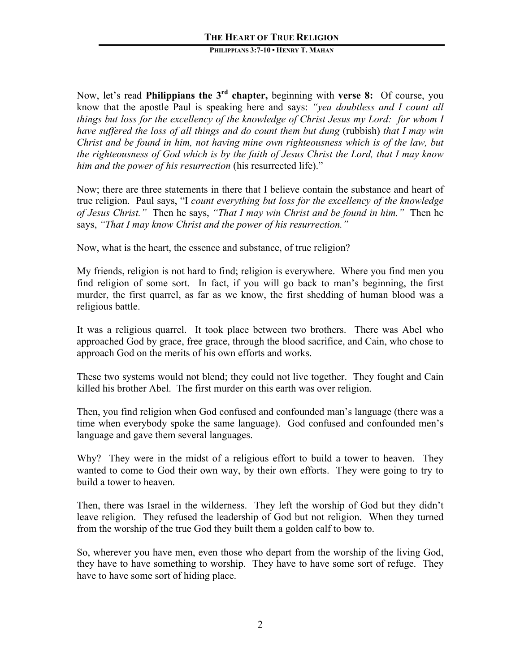Now, let's read **Philippians the 3rd chapter,** beginning with **verse 8:** Of course, you know that the apostle Paul is speaking here and says: *"yea doubtless and I count all things but loss for the excellency of the knowledge of Christ Jesus my Lord: for whom I have suffered the loss of all things and do count them but dung* (rubbish) *that I may win Christ and be found in him, not having mine own righteousness which is of the law, but the righteousness of God which is by the faith of Jesus Christ the Lord, that I may know him and the power of his resurrection* (his resurrected life)."

Now; there are three statements in there that I believe contain the substance and heart of true religion. Paul says, "I *count everything but loss for the excellency of the knowledge of Jesus Christ."* Then he says, *"That I may win Christ and be found in him."* Then he says, *"That I may know Christ and the power of his resurrection."* 

Now, what is the heart, the essence and substance, of true religion?

My friends, religion is not hard to find; religion is everywhere. Where you find men you find religion of some sort. In fact, if you will go back to man's beginning, the first murder, the first quarrel, as far as we know, the first shedding of human blood was a religious battle.

It was a religious quarrel. It took place between two brothers. There was Abel who approached God by grace, free grace, through the blood sacrifice, and Cain, who chose to approach God on the merits of his own efforts and works.

These two systems would not blend; they could not live together. They fought and Cain killed his brother Abel. The first murder on this earth was over religion.

Then, you find religion when God confused and confounded man's language (there was a time when everybody spoke the same language). God confused and confounded men's language and gave them several languages.

Why? They were in the midst of a religious effort to build a tower to heaven. They wanted to come to God their own way, by their own efforts. They were going to try to build a tower to heaven.

Then, there was Israel in the wilderness. They left the worship of God but they didn't leave religion. They refused the leadership of God but not religion. When they turned from the worship of the true God they built them a golden calf to bow to.

So, wherever you have men, even those who depart from the worship of the living God, they have to have something to worship. They have to have some sort of refuge. They have to have some sort of hiding place.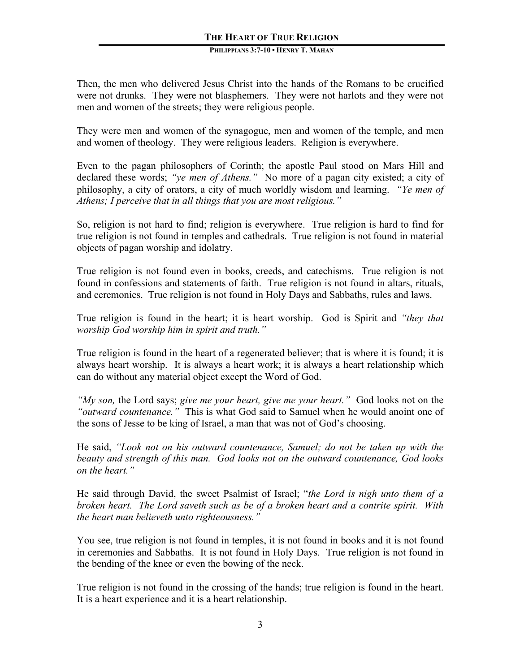Then, the men who delivered Jesus Christ into the hands of the Romans to be crucified were not drunks. They were not blasphemers. They were not harlots and they were not men and women of the streets; they were religious people.

They were men and women of the synagogue, men and women of the temple, and men and women of theology. They were religious leaders. Religion is everywhere.

Even to the pagan philosophers of Corinth; the apostle Paul stood on Mars Hill and declared these words; *"ye men of Athens."* No more of a pagan city existed; a city of philosophy, a city of orators, a city of much worldly wisdom and learning. *"Ye men of Athens; I perceive that in all things that you are most religious."* 

So, religion is not hard to find; religion is everywhere. True religion is hard to find for true religion is not found in temples and cathedrals. True religion is not found in material objects of pagan worship and idolatry.

True religion is not found even in books, creeds, and catechisms. True religion is not found in confessions and statements of faith. True religion is not found in altars, rituals, and ceremonies. True religion is not found in Holy Days and Sabbaths, rules and laws.

True religion is found in the heart; it is heart worship. God is Spirit and *"they that worship God worship him in spirit and truth."* 

True religion is found in the heart of a regenerated believer; that is where it is found; it is always heart worship. It is always a heart work; it is always a heart relationship which can do without any material object except the Word of God.

*"My son,* the Lord says; *give me your heart, give me your heart."* God looks not on the *"outward countenance."* This is what God said to Samuel when he would anoint one of the sons of Jesse to be king of Israel, a man that was not of God's choosing.

He said, *"Look not on his outward countenance, Samuel; do not be taken up with the beauty and strength of this man. God looks not on the outward countenance, God looks on the heart."*

He said through David, the sweet Psalmist of Israel; "*the Lord is nigh unto them of a broken heart. The Lord saveth such as be of a broken heart and a contrite spirit. With the heart man believeth unto righteousness."*

You see, true religion is not found in temples, it is not found in books and it is not found in ceremonies and Sabbaths. It is not found in Holy Days. True religion is not found in the bending of the knee or even the bowing of the neck.

True religion is not found in the crossing of the hands; true religion is found in the heart. It is a heart experience and it is a heart relationship.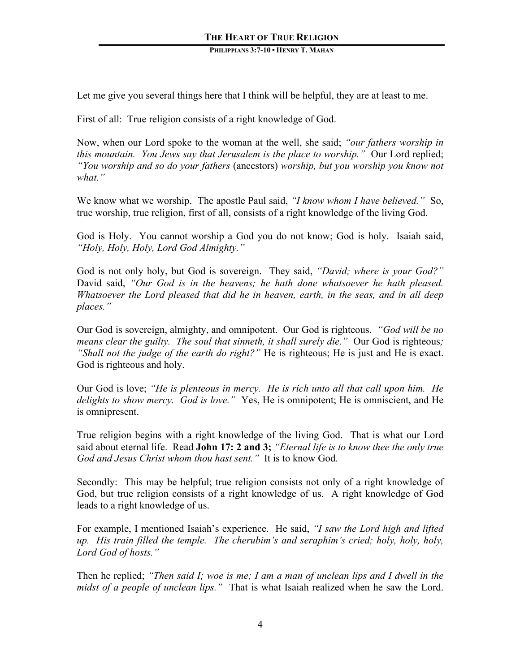Let me give you several things here that I think will be helpful, they are at least to me.

First of all: True religion consists of a right knowledge of God.

Now, when our Lord spoke to the woman at the well, she said; *"our fathers worship in this mountain. You Jews say that Jerusalem is the place to worship.*" Our Lord replied; *"You worship and so do your fathers* (ancestors) *worship, but you worship you know not what."* 

We know what we worship. The apostle Paul said, *"I know whom I have believed."* So, true worship, true religion, first of all, consists of a right knowledge of the living God.

God is Holy. You cannot worship a God you do not know; God is holy. Isaiah said, *"Holy, Holy, Holy, Lord God Almighty."*

God is not only holy, but God is sovereign. They said, *"David; where is your God?"* David said, *"Our God is in the heavens; he hath done whatsoever he hath pleased. Whatsoever the Lord pleased that did he in heaven, earth, in the seas, and in all deep places."* 

Our God is sovereign, almighty, and omnipotent. Our God is righteous. *"God will be no means clear the guilty. The soul that sinneth, it shall surely die.*" Our God is righteous; *"Shall not the judge of the earth do right?"* He is righteous; He is just and He is exact. God is righteous and holy.

Our God is love; *"He is plenteous in mercy. He is rich unto all that call upon him. He delights to show mercy. God is love."* Yes, He is omnipotent; He is omniscient, and He is omnipresent.

True religion begins with a right knowledge of the living God. That is what our Lord said about eternal life. Read **John 17: 2 and 3;** *"Eternal life is to know thee the only true God and Jesus Christ whom thou hast sent."* It is to know God.

Secondly: This may be helpful; true religion consists not only of a right knowledge of God, but true religion consists of a right knowledge of us. A right knowledge of God leads to a right knowledge of us.

For example, I mentioned Isaiah's experience. He said, *"I saw the Lord high and lifted up. His train filled the temple. The cherubim's and seraphim's cried; holy, holy, holy, Lord God of hosts."*

Then he replied; *"Then said I; woe is me; I am a man of unclean lips and I dwell in the midst of a people of unclean lips."* That is what Isaiah realized when he saw the Lord.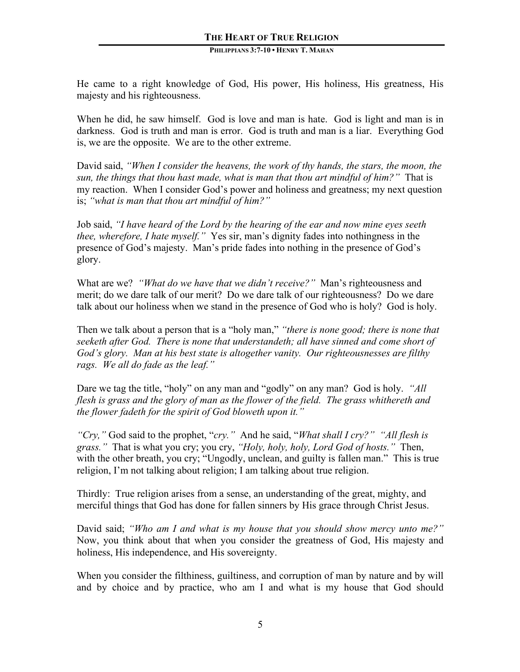He came to a right knowledge of God, His power, His holiness, His greatness, His majesty and his righteousness.

When he did, he saw himself. God is love and man is hate. God is light and man is in darkness. God is truth and man is error. God is truth and man is a liar. Everything God is, we are the opposite. We are to the other extreme.

David said, *"When I consider the heavens, the work of thy hands, the stars, the moon, the sun, the things that thou hast made, what is man that thou art mindful of him?"* That is my reaction. When I consider God's power and holiness and greatness; my next question is; *"what is man that thou art mindful of him?"*

Job said, *"I have heard of the Lord by the hearing of the ear and now mine eyes seeth thee, wherefore, I hate myself."* Yes sir, man's dignity fades into nothingness in the presence of God's majesty. Man's pride fades into nothing in the presence of God's glory.

What are we? *"What do we have that we didn't receive?"* Man's righteousness and merit; do we dare talk of our merit? Do we dare talk of our righteousness? Do we dare talk about our holiness when we stand in the presence of God who is holy? God is holy.

Then we talk about a person that is a "holy man," *"there is none good; there is none that seeketh after God. There is none that understandeth; all have sinned and come short of God's glory. Man at his best state is altogether vanity. Our righteousnesses are filthy rags. We all do fade as the leaf."*

Dare we tag the title, "holy" on any man and "godly" on any man? God is holy. *"All flesh is grass and the glory of man as the flower of the field. The grass whithereth and the flower fadeth for the spirit of God bloweth upon it."*

*"Cry,"* God said to the prophet, "*cry."* And he said, "*What shall I cry?" "All flesh is grass."* That is what you cry; you cry, *"Holy, holy, holy, Lord God of hosts."* Then, with the other breath, you cry; "Ungodly, unclean, and guilty is fallen man." This is true religion, I'm not talking about religion; I am talking about true religion.

Thirdly: True religion arises from a sense, an understanding of the great, mighty, and merciful things that God has done for fallen sinners by His grace through Christ Jesus.

David said; *"Who am I and what is my house that you should show mercy unto me?"* Now, you think about that when you consider the greatness of God, His majesty and holiness, His independence, and His sovereignty.

When you consider the filthiness, guiltiness, and corruption of man by nature and by will and by choice and by practice, who am I and what is my house that God should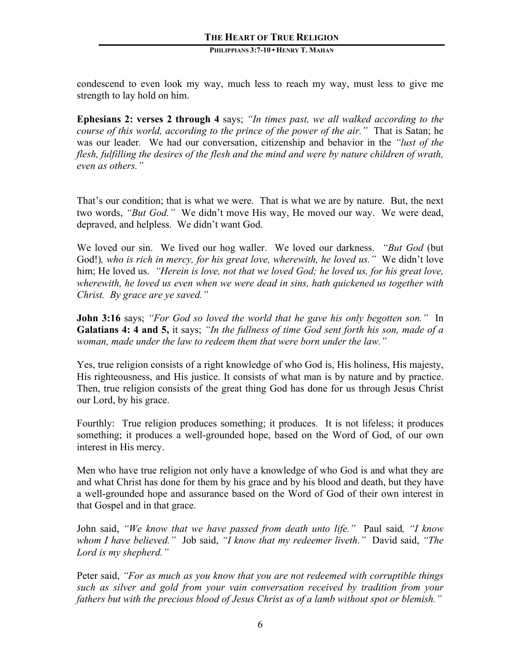condescend to even look my way, much less to reach my way, must less to give me strength to lay hold on him.

**Ephesians 2: verses 2 through 4** says; *"In times past, we all walked according to the course of this world, according to the prince of the power of the air."* That is Satan; he was our leader*.* We had our conversation, citizenship and behavior in the *"lust of the flesh, fulfilling the desires of the flesh and the mind and were by nature children of wrath, even as others."*

That's our condition; that is what we were. That is what we are by nature. But, the next two words, *"But God."* We didn't move His way, He moved our way. We were dead, depraved, and helpless. We didn't want God.

We loved our sin. We lived our hog waller. We loved our darkness. *"But God* (but God!)*, who is rich in mercy, for his great love, wherewith, he loved us."* We didn't love him; He loved us. *"Herein is love, not that we loved God; he loved us, for his great love, wherewith, he loved us even when we were dead in sins, hath quickened us together with Christ. By grace are ye saved."*

**John 3:16** says; *"For God so loved the world that he gave his only begotten son."* In **Galatians 4: 4 and 5,** it says; *"In the fullness of time God sent forth his son, made of a woman, made under the law to redeem them that were born under the law."*

Yes, true religion consists of a right knowledge of who God is, His holiness, His majesty, His righteousness, and His justice. It consists of what man is by nature and by practice. Then, true religion consists of the great thing God has done for us through Jesus Christ our Lord, by his grace.

Fourthly: True religion produces something; it produces. It is not lifeless; it produces something; it produces a well-grounded hope, based on the Word of God, of our own interest in His mercy.

Men who have true religion not only have a knowledge of who God is and what they are and what Christ has done for them by his grace and by his blood and death, but they have a well-grounded hope and assurance based on the Word of God of their own interest in that Gospel and in that grace.

John said, *"We know that we have passed from death unto life."* Paul said*, "I know whom I have believed."* Job said, *"I know that my redeemer liveth."* David said, *"The Lord is my shepherd."*

Peter said, *"For as much as you know that you are not redeemed with corruptible things such as silver and gold from your vain conversation received by tradition from your fathers but with the precious blood of Jesus Christ as of a lamb without spot or blemish."*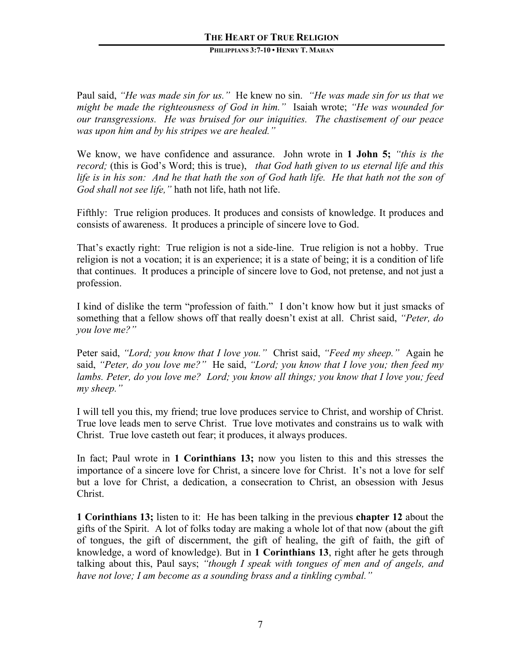#### **PHILIPPIANS 3:7-10 • HENRY T. MAHAN**

Paul said, *"He was made sin for us."* He knew no sin. *"He was made sin for us that we might be made the righteousness of God in him."* Isaiah wrote; *"He was wounded for our transgressions. He was bruised for our iniquities. The chastisement of our peace was upon him and by his stripes we are healed."*

We know, we have confidence and assurance. John wrote in **1 John 5;** *"this is the record;* (this is God's Word; this is true), *that God hath given to us eternal life and this life is in his son: And he that hath the son of God hath life. He that hath not the son of God shall not see life,"* hath not life, hath not life.

Fifthly: True religion produces. It produces and consists of knowledge. It produces and consists of awareness. It produces a principle of sincere love to God.

That's exactly right: True religion is not a side-line. True religion is not a hobby. True religion is not a vocation; it is an experience; it is a state of being; it is a condition of life that continues. It produces a principle of sincere love to God, not pretense, and not just a profession.

I kind of dislike the term "profession of faith." I don't know how but it just smacks of something that a fellow shows off that really doesn't exist at all. Christ said, *"Peter, do you love me?"* 

Peter said, *"Lord; you know that I love you."* Christ said, *"Feed my sheep."* Again he said, *"Peter, do you love me?"* He said, *"Lord; you know that I love you; then feed my lambs. Peter, do you love me? Lord; you know all things; you know that I love you; feed my sheep."*

I will tell you this, my friend; true love produces service to Christ, and worship of Christ. True love leads men to serve Christ. True love motivates and constrains us to walk with Christ. True love casteth out fear; it produces, it always produces.

In fact; Paul wrote in **1 Corinthians 13;** now you listen to this and this stresses the importance of a sincere love for Christ, a sincere love for Christ. It's not a love for self but a love for Christ, a dedication, a consecration to Christ, an obsession with Jesus Christ.

**1 Corinthians 13;** listen to it: He has been talking in the previous **chapter 12** about the gifts of the Spirit. A lot of folks today are making a whole lot of that now (about the gift of tongues, the gift of discernment, the gift of healing, the gift of faith, the gift of knowledge, a word of knowledge). But in **1 Corinthians 13**, right after he gets through talking about this, Paul says; *"though I speak with tongues of men and of angels, and have not love; I am become as a sounding brass and a tinkling cymbal."*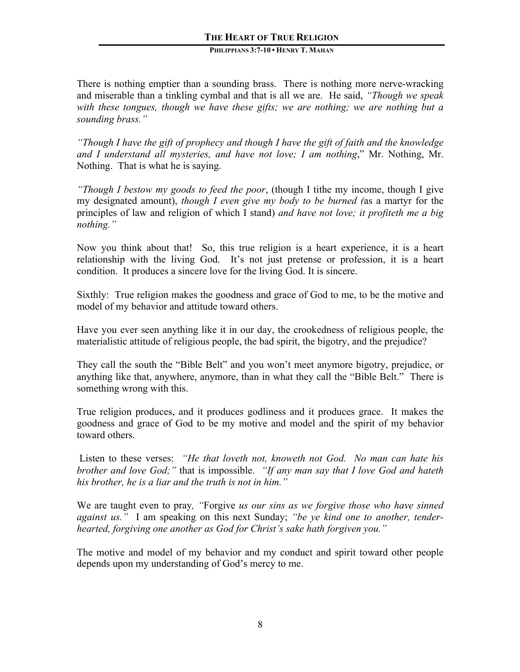#### **PHILIPPIANS 3:7-10 • HENRY T. MAHAN**

There is nothing emptier than a sounding brass. There is nothing more nerve-wracking and miserable than a tinkling cymbal and that is all we are. He said, *"Though we speak with these tongues, though we have these gifts; we are nothing; we are nothing but a sounding brass."*

*"Though I have the gift of prophecy and though I have the gift of faith and the knowledge and I understand all mysteries, and have not love; I am nothing*," Mr. Nothing, Mr. Nothing. That is what he is saying.

*"Though I bestow my goods to feed the poor*, (though I tithe my income, though I give my designated amount), *though I even give my body to be burned (*as a martyr for the principles of law and religion of which I stand) *and have not love; it profiteth me a big nothing."*

Now you think about that! So, this true religion is a heart experience, it is a heart relationship with the living God. It's not just pretense or profession, it is a heart condition. It produces a sincere love for the living God. It is sincere.

Sixthly: True religion makes the goodness and grace of God to me, to be the motive and model of my behavior and attitude toward others.

Have you ever seen anything like it in our day, the crookedness of religious people, the materialistic attitude of religious people, the bad spirit, the bigotry, and the prejudice?

They call the south the "Bible Belt" and you won't meet anymore bigotry, prejudice, or anything like that, anywhere, anymore, than in what they call the "Bible Belt." There is something wrong with this.

True religion produces, and it produces godliness and it produces grace. It makes the goodness and grace of God to be my motive and model and the spirit of my behavior toward others.

Listen to these verses: *"He that loveth not, knoweth not God. No man can hate his brother and love God;"* that is impossible. *"If any man say that I love God and hateth his brother, he is a liar and the truth is not in him."*

We are taught even to pray*, "*Forgive *us our sins as we forgive those who have sinned against us."* I am speaking on this next Sunday; *"be ye kind one to another, tenderhearted, forgiving one another as God for Christ's sake hath forgiven you."*

The motive and model of my behavior and my conduct and spirit toward other people depends upon my understanding of God's mercy to me.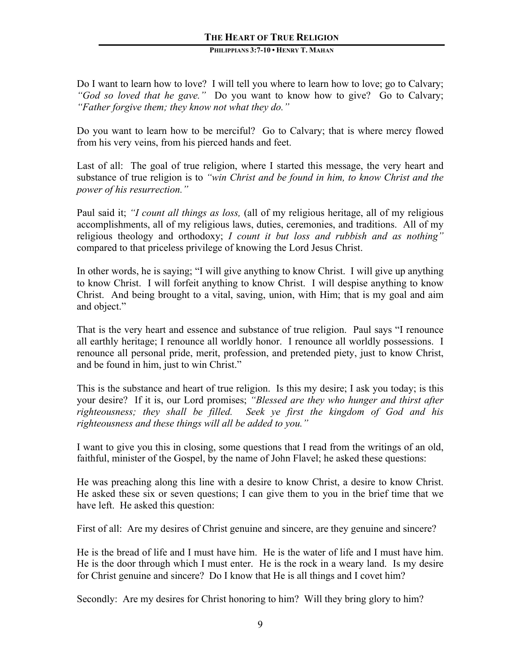### **PHILIPPIANS 3:7-10 • HENRY T. MAHAN**

Do I want to learn how to love? I will tell you where to learn how to love; go to Calvary; *"God so loved that he gave."* Do you want to know how to give? Go to Calvary; *"Father forgive them; they know not what they do."*

Do you want to learn how to be merciful? Go to Calvary; that is where mercy flowed from his very veins, from his pierced hands and feet.

Last of all: The goal of true religion, where I started this message, the very heart and substance of true religion is to *"win Christ and be found in him, to know Christ and the power of his resurrection."*

Paul said it; *"I count all things as loss,* (all of my religious heritage, all of my religious accomplishments, all of my religious laws, duties, ceremonies, and traditions. All of my religious theology and orthodoxy; *I count it but loss and rubbish and as nothing"* compared to that priceless privilege of knowing the Lord Jesus Christ.

In other words, he is saying; "I will give anything to know Christ. I will give up anything to know Christ. I will forfeit anything to know Christ. I will despise anything to know Christ. And being brought to a vital, saving, union, with Him; that is my goal and aim and object."

That is the very heart and essence and substance of true religion. Paul says "I renounce all earthly heritage; I renounce all worldly honor. I renounce all worldly possessions. I renounce all personal pride, merit, profession, and pretended piety, just to know Christ, and be found in him, just to win Christ."

This is the substance and heart of true religion. Is this my desire; I ask you today; is this your desire? If it is, our Lord promises; *"Blessed are they who hunger and thirst after righteousness; they shall be filled. Seek ye first the kingdom of God and his righteousness and these things will all be added to you."* 

I want to give you this in closing, some questions that I read from the writings of an old, faithful, minister of the Gospel, by the name of John Flavel; he asked these questions:

He was preaching along this line with a desire to know Christ, a desire to know Christ. He asked these six or seven questions; I can give them to you in the brief time that we have left. He asked this question:

First of all: Are my desires of Christ genuine and sincere, are they genuine and sincere?

He is the bread of life and I must have him. He is the water of life and I must have him. He is the door through which I must enter. He is the rock in a weary land. Is my desire for Christ genuine and sincere? Do I know that He is all things and I covet him?

Secondly: Are my desires for Christ honoring to him? Will they bring glory to him?